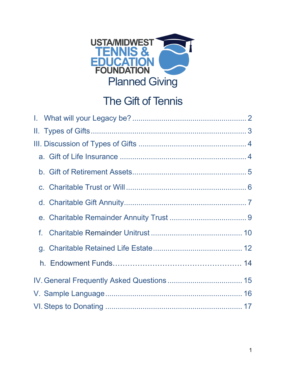

# The Gift of Tennis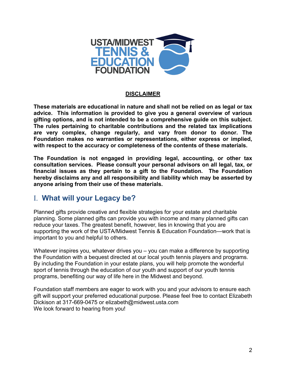

#### **DISCLAIMER**

**These materials are educational in nature and shall not be relied on as legal or tax advice. This information is provided to give you a general overview of various gifting options, and is not intended to be a comprehensive guide on this subject. The rules pertaining to charitable contributions and the related tax implications are very complex, change regularly, and vary from donor to donor. The Foundation makes no warranties or representations, either express or implied, with respect to the accuracy or completeness of the contents of these materials.**

**The Foundation is not engaged in providing legal, accounting, or other tax consultation services. Please consult your personal advisors on all legal, tax, or financial issues as they pertain to a gift to the Foundation. The Foundation hereby disclaims any and all responsibility and liability which may be asserted by anyone arising from their use of these materials.** 

### I. **What will your Legacy be?**

Planned gifts provide creative and flexible strategies for your estate and charitable planning. Some planned gifts can provide you with income and many planned gifts can reduce your taxes. The greatest benefit, however, lies in knowing that you are supporting the work of the USTA/Midwest Tennis & Education Foundation—work that is important to you and helpful to others.

Whatever inspires you, whatever drives you – you can make a difference by supporting the Foundation with a bequest directed at our local youth tennis players and programs. By including the Foundation in your estate plans, you will help promote the wonderful sport of tennis through the education of our youth and support of our youth tennis programs, benefiting our way of life here in the Midwest and beyond.

Foundation staff members are eager to work with you and your advisors to ensure each gift will support your preferred educational purpose. Please feel free to contact Elizabeth Dickison at 317-669-0475 or elizabeth@midwest.usta.com We look forward to hearing from you!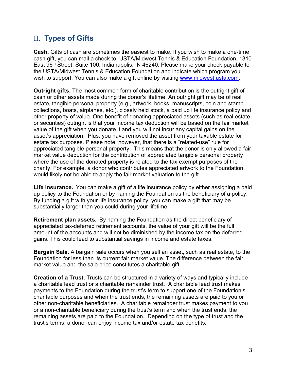# II. **Types of Gifts**

**Cash.** Gifts of cash are sometimes the easiest to make. If you wish to make a one-time cash gift, you can mail a check to: USTA/Midwest Tennis & Education Foundation, 1310 East 96th Street, Suite 100, Indianapolis, IN 46240. Please make your check payable to the USTA/Midwest Tennis & Education Foundation and indicate which program you wish to support. You can also make a gift online by visiting www.midwest.usta.com.

**Outright gifts.** The most common form of charitable contribution is the outright gift of cash or other assets made during the donor's lifetime. An outright gift may be of real estate, tangible personal property (e.g., artwork, books, manuscripts, coin and stamp collections, boats, airplanes, etc.), closely held stock, a paid up life insurance policy and other property of value. One benefit of donating appreciated assets (such as real estate or securities) outright is that your income tax deduction will be based on the fair market value of the gift when you donate it and you will not incur any capital gains on the asset's appreciation. Plus, you have removed the asset from your taxable estate for estate tax purposes. Please note, however, that there is a "related-use" rule for appreciated tangible personal property. This means that the donor is only allowed a fair market value deduction for the contribution of appreciated tangible personal property where the use of the donated property is related to the tax-exempt purposes of the charity. For example, a donor who contributes appreciated artwork to the Foundation would likely not be able to apply the fair market valuation to the gift.

**Life insurance.** You can make a gift of a life insurance policy by either assigning a paid up policy to the Foundation or by naming the Foundation as the beneficiary of a policy. By funding a gift with your life insurance policy, you can make a gift that may be substantially larger than you could during your lifetime.

**Retirement plan assets.** By naming the Foundation as the direct beneficiary of appreciated tax-deferred retirement accounts, the value of your gift will be the full amount of the accounts and will not be diminished by the income tax on the deferred gains. This could lead to substantial savings in income and estate taxes.

**Bargain Sale.** A bargain sale occurs when you sell an asset, such as real estate, to the Foundation for less than its current fair market value. The difference between the fair market value and the sale price constitutes a charitable gift.

**Creation of a Trust.** Trusts can be structured in a variety of ways and typically include a charitable lead trust or a charitable remainder trust. A charitable lead trust makes payments to the Foundation during the trust's term to support one of the Foundation's charitable purposes and when the trust ends, the remaining assets are paid to you or other non-charitable beneficiaries. A charitable remainder trust makes payment to you or a non-charitable beneficiary during the trust's term and when the trust ends, the remaining assets are paid to the Foundation. Depending on the type of trust and the trust's terms, a donor can enjoy income tax and/or estate tax benefits.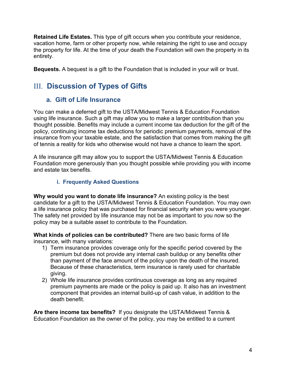**Retained Life Estates.** This type of gift occurs when you contribute your residence, vacation home, farm or other property now, while retaining the right to use and occupy the property for life. At the time of your death the Foundation will own the property in its entirety.

**Bequests.** A bequest is a gift to the Foundation that is included in your will or trust.

# III. **Discussion of Types of Gifts**

### **a. Gift of Life Insurance**

You can make a deferred gift to the USTA/Midwest Tennis & Education Foundation using life insurance. Such a gift may allow you to make a larger contribution than you thought possible. Benefits may include a current income tax deduction for the gift of the policy, continuing income tax deductions for periodic premium payments, removal of the insurance from your taxable estate, and the satisfaction that comes from making the gift of tennis a reality for kids who otherwise would not have a chance to learn the sport.

A life insurance gift may allow you to support the USTA/Midwest Tennis & Education Foundation more generously than you thought possible while providing you with income and estate tax benefits.

### **i. Frequently Asked Questions**

**Why would you want to donate life insurance?** An existing policy is the best candidate for a gift to the USTA/Midwest Tennis & Education Foundation. You may own a life insurance policy that was purchased for financial security when you were younger. The safety net provided by life insurance may not be as important to you now so the policy may be a suitable asset to contribute to the Foundation.

**What kinds of policies can be contributed?** There are two basic forms of life insurance, with many variations:

- 1) Term insurance provides coverage only for the specific period covered by the premium but does not provide any internal cash buildup or any benefits other than payment of the face amount of the policy upon the death of the insured. Because of these characteristics, term insurance is rarely used for charitable giving.
- 2) Whole life insurance provides continuous coverage as long as any required premium payments are made or the policy is paid up. It also has an investment component that provides an internal build-up of cash value, in addition to the death benefit.

**Are there income tax benefits?** If you designate the USTA/Midwest Tennis & Education Foundation as the owner of the policy, you may be entitled to a current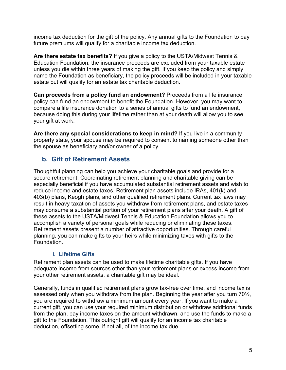income tax deduction for the gift of the policy. Any annual gifts to the Foundation to pay future premiums will qualify for a charitable income tax deduction.

**Are there estate tax benefits?** If you give a policy to the USTA/Midwest Tennis & Education Foundation, the insurance proceeds are excluded from your taxable estate unless you die within three years of making the gift. If you keep the policy and simply name the Foundation as beneficiary, the policy proceeds will be included in your taxable estate but will qualify for an estate tax charitable deduction.

**Can proceeds from a policy fund an endowment?** Proceeds from a life insurance policy can fund an endowment to benefit the Foundation. However, you may want to compare a life insurance donation to a series of annual gifts to fund an endowment, because doing this during your lifetime rather than at your death will allow you to see your gift at work.

**Are there any special considerations to keep in mind?** If you live in a community property state, your spouse may be required to consent to naming someone other than the spouse as beneficiary and/or owner of a policy.

### **b. Gift of Retirement Assets**

Thoughtful planning can help you achieve your charitable goals and provide for a secure retirement. Coordinating retirement planning and charitable giving can be especially beneficial if you have accumulated substantial retirement assets and wish to reduce income and estate taxes. Retirement plan assets include IRAs, 401(k) and 403(b) plans, Keogh plans, and other qualified retirement plans. Current tax laws may result in heavy taxation of assets you withdraw from retirement plans, and estate taxes may consume a substantial portion of your retirement plans after your death. A gift of these assets to the USTA/Midwest Tennis & Education Foundation allows you to accomplish a variety of personal goals while reducing or eliminating these taxes. Retirement assets present a number of attractive opportunities. Through careful planning, you can make gifts to your heirs while minimizing taxes with gifts to the Foundation.

### **i. Lifetime Gifts**

Retirement plan assets can be used to make lifetime charitable gifts. If you have adequate income from sources other than your retirement plans or excess income from your other retirement assets, a charitable gift may be ideal.

Generally, funds in qualified retirement plans grow tax-free over time, and income tax is assessed only when you withdraw from the plan. Beginning the year after you turn 70½, you are required to withdraw a minimum amount every year. If you want to make a current gift, you can use your required minimum distribution or withdraw additional funds from the plan, pay income taxes on the amount withdrawn, and use the funds to make a gift to the Foundation. This outright gift will qualify for an income tax charitable deduction, offsetting some, if not all, of the income tax due.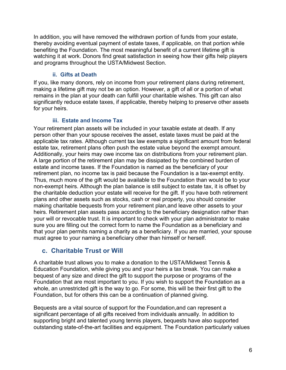In addition, you will have removed the withdrawn portion of funds from your estate, thereby avoiding eventual payment of estate taxes, if applicable, on that portion while benefiting the Foundation. The most meaningful benefit of a current lifetime gift is watching it at work. Donors find great satisfaction in seeing how their gifts help players and programs throughout the USTA/Midwest Section.

### **ii. Gifts at Death**

If you, like many donors, rely on income from your retirement plans during retirement, making a lifetime gift may not be an option. However, a gift of all or a portion of what remains in the plan at your death can fulfill your charitable wishes. This gift can also significantly reduce estate taxes, if applicable, thereby helping to preserve other assets for your heirs.

### **iii. Estate and Income Tax**

Your retirement plan assets will be included in your taxable estate at death. If any person other than your spouse receives the asset, estate taxes must be paid at the applicable tax rates. Although current tax law exempts a significant amount from federal estate tax, retirement plans often push the estate value beyond the exempt amount. Additionally, your heirs may owe income tax on distributions from your retirement plan. A large portion of the retirement plan may be dissipated by the combined burden of estate and income taxes. If the Foundation is named as the beneficiary of your retirement plan, no income tax is paid because the Foundation is a tax-exempt entity. Thus, much more of the gift would be available to the Foundation than would be to your non-exempt heirs. Although the plan balance is still subject to estate tax, it is offset by the charitable deduction your estate will receive for the gift. If you have both retirement plans and other assets such as stocks, cash or real property, you should consider making charitable bequests from your retirement plan,and leave other assets to your heirs. Retirement plan assets pass according to the beneficiary designation rather than your will or revocable trust. It is important to check with your plan administrator to make sure you are filling out the correct form to name the Foundation as a beneficiary and that your plan permits naming a charity as a beneficiary. If you are married, your spouse must agree to your naming a beneficiary other than himself or herself.

### **c. Charitable Trust or Will**

A charitable trust allows you to make a donation to the USTA/Midwest Tennis & Education Foundation, while giving you and your heirs a tax break. You can make a bequest of any size and direct the gift to support the purpose or programs of the Foundation that are most important to you. If you wish to support the Foundation as a whole, an unrestricted gift is the way to go. For some, this will be their first gift to the Foundation, but for others this can be a continuation of planned giving.

Bequests are a vital source of support for the Foundation,and can represent a significant percentage of all gifts received from individuals annually. In addition to supporting bright and talented young tennis players, bequests have also supported outstanding state-of-the-art facilities and equipment. The Foundation particularly values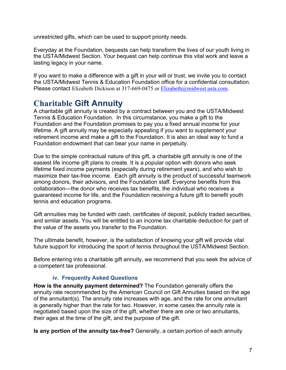unrestricted gifts, which can be used to support priority needs.

Everyday at the Foundation, bequests can help transform the lives of our youth living in the USTA/Midwest Section. Your bequest can help continue this vital work and leave a lasting legacy in your name.

If you want to make a difference with a gift in your will or trust, we invite you to contact the USTA/Midwest Tennis & Education Foundation office for a confidential consultation. Please contact Elizabeth Dickison at 317-669-0475 or Elizabeth@midwest.usta.com.

# **Charitable Gift Annuity**

A charitable gift annuity is created by a contract between you and the USTA/Midwest Tennis & Education Foundation. In this circumstance, you make a gift to the Foundation and the Foundation promises to pay you a fixed annual income for your lifetime. A gift annuity may be especially appealing if you want to supplement your retirement income and make a gift to the Foundation. It is also an ideal way to fund a Foundation endowment that can bear your name in perpetuity.

Due to the simple contractual nature of this gift, a charitable gift annuity is one of the easiest life income gift plans to create. It is a popular option with donors who seek lifetime fixed income payments (especially during retirement years), and who wish to maximize their tax-free income. Each gift annuity is the product of successful teamwork among donors, their advisors, and the Foundation staff. Everyone benefits from this collaboration—the donor who receives tax benefits, the individual who receives a guaranteed income for life, and the Foundation receiving a future gift to benefit youth tennis and education programs.

Gift annuities may be funded with cash, certificates of deposit, publicly traded securities, and similar assets. You will be entitled to an income tax charitable deduction for part of the value of the assets you transfer to the Foundation.

The ultimate benefit, however, is the satisfaction of knowing your gift will provide vital future support for introducing the sport of tennis throughout the USTA/Midwest Section.

Before entering into a charitable gift annuity, we recommend that you seek the advice of a competent tax professional.

### **iv. Frequently Asked Questions**

**How is the annuity payment determined?** The Foundation generally offers the annuity rate recommended by the American Council on Gift Annuities based on the age of the annuitant(s). The annuity rate increases with age, and the rate for one annuitant is generally higher than the rate for two. However, in some cases the annuity rate is negotiated based upon the size of the gift, whether there are one or two annuitants, their ages at the time of the gift, and the purpose of the gift.

**Is any portion of the annuity tax-free?** Generally, a certain portion of each annuity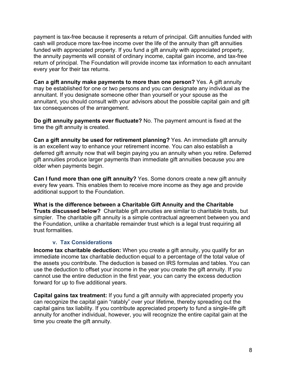payment is tax-free because it represents a return of principal. Gift annuities funded with cash will produce more tax-free income over the life of the annuity than gift annuities funded with appreciated property. If you fund a gift annuity with appreciated property, the annuity payments will consist of ordinary income, capital gain income, and tax-free return of principal. The Foundation will provide income tax information to each annuitant every year for their tax returns.

**Can a gift annuity make payments to more than one person?** Yes. A gift annuity may be established for one or two persons and you can designate any individual as the annuitant. If you designate someone other than yourself or your spouse as the annuitant, you should consult with your advisors about the possible capital gain and gift tax consequences of the arrangement.

**Do gift annuity payments ever fluctuate?** No. The payment amount is fixed at the time the gift annuity is created.

**Can a gift annuity be used for retirement planning?** Yes. An immediate gift annuity is an excellent way to enhance your retirement income. You can also establish a deferred gift annuity now that will begin paying you an annuity when you retire. Deferred gift annuities produce larger payments than immediate gift annuities because you are older when payments begin.

**Can I fund more than one gift annuity?** Yes. Some donors create a new gift annuity every few years. This enables them to receive more income as they age and provide additional support to the Foundation.

**What is the difference between a Charitable Gift Annuity and the Charitable Trusts discussed below?** Charitable gift annuities are similar to charitable trusts, but simpler. The charitable gift annuity is a simple contractual agreement between you and the Foundation, unlike a charitable remainder trust which is a legal trust requiring all trust formalities.

### **v. Tax Considerations**

**Income tax charitable deduction:** When you create a gift annuity, you qualify for an immediate income tax charitable deduction equal to a percentage of the total value of the assets you contribute. The deduction is based on IRS formulas and tables. You can use the deduction to offset your income in the year you create the gift annuity. If you cannot use the entire deduction in the first year, you can carry the excess deduction forward for up to five additional years.

**Capital gains tax treatment:** If you fund a gift annuity with appreciated property you can recognize the capital gain "ratably" over your lifetime, thereby spreading out the capital gains tax liability. If you contribute appreciated property to fund a single-life gift annuity for another individual, however, you will recognize the entire capital gain at the time you create the gift annuity.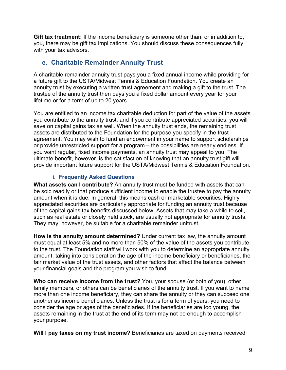**Gift tax treatment:** If the income beneficiary is someone other than, or in addition to, you, there may be gift tax implications. You should discuss these consequences fully with your tax advisors.

### **e. Charitable Remainder Annuity Trust**

A charitable remainder annuity trust pays you a fixed annual income while providing for a future gift to the USTA/Midwest Tennis & Education Foundation. You create an annuity trust by executing a written trust agreement and making a gift to the trust. The trustee of the annuity trust then pays you a fixed dollar amount every year for your lifetime or for a term of up to 20 years.

You are entitled to an income tax charitable deduction for part of the value of the assets you contribute to the annuity trust, and if you contribute appreciated securities, you will save on capital gains tax as well. When the annuity trust ends, the remaining trust assets are distributed to the Foundation for the purpose you specify in the trust agreement. You may wish to fund an endowment in your name to support scholarships or provide unrestricted support for a program – the possibilities are nearly endless. If you want regular, fixed income payments, an annuity trust may appeal to you. The ultimate benefit, however, is the satisfaction of knowing that an annuity trust gift will provide important future support for the USTA/Midwest Tennis & Education Foundation.

### **i. Frequently Asked Questions**

**What assets can I contribute?** An annuity trust must be funded with assets that can be sold readily or that produce sufficient income to enable the trustee to pay the annuity amount when it is due. In general, this means cash or marketable securities. Highly appreciated securities are particularly appropriate for funding an annuity trust because of the capital gains tax benefits discussed below. Assets that may take a while to sell, such as real estate or closely held stock, are usually not appropriate for annuity trusts. They may, however, be suitable for a charitable remainder unitrust.

**How is the annuity amount determined?** Under current tax law, the annuity amount must equal at least 5% and no more than 50% of the value of the assets you contribute to the trust. The Foundation staff will work with you to determine an appropriate annuity amount, taking into consideration the age of the income beneficiary or beneficiaries, the fair market value of the trust assets, and other factors that affect the balance between your financial goals and the program you wish to fund.

**Who can receive income from the trust?** You, your spouse (or both of you), other family members, or others can be beneficiaries of the annuity trust. If you want to name more than one income beneficiary, they can share the annuity or they can succeed one another as income beneficiaries. Unless the trust is for a term of years, you need to consider the age or ages of the beneficiaries. If the beneficiaries are too young, the assets remaining in the trust at the end of its term may not be enough to accomplish your purpose.

**Will I pay taxes on my trust income?** Beneficiaries are taxed on payments received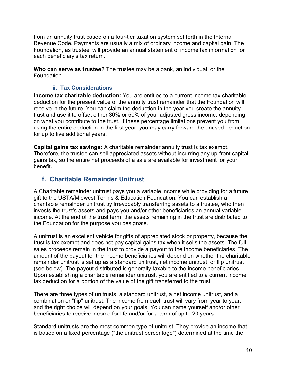from an annuity trust based on a four-tier taxation system set forth in the Internal Revenue Code. Payments are usually a mix of ordinary income and capital gain. The Foundation, as trustee, will provide an annual statement of income tax information for each beneficiary's tax return.

**Who can serve as trustee?** The trustee may be a bank, an individual, or the Foundation.

### **ii. Tax Considerations**

**Income tax charitable deduction:** You are entitled to a current income tax charitable deduction for the present value of the annuity trust remainder that the Foundation will receive in the future. You can claim the deduction in the year you create the annuity trust and use it to offset either 30% or 50% of your adjusted gross income, depending on what you contribute to the trust. If these percentage limitations prevent you from using the entire deduction in the first year, you may carry forward the unused deduction for up to five additional years.

**Capital gains tax savings:** A charitable remainder annuity trust is tax exempt. Therefore, the trustee can sell appreciated assets without incurring any up-front capital gains tax, so the entire net proceeds of a sale are available for investment for your benefit.

### **f. Charitable Remainder Unitrust**

A Charitable remainder unitrust pays you a variable income while providing for a future gift to the USTA/Midwest Tennis & Education Foundation. You can establish a charitable remainder unitrust by irrevocably transferring assets to a trustee, who then invests the trust's assets and pays you and/or other beneficiaries an annual variable income. At the end of the trust term, the assets remaining in the trust are distributed to the Foundation for the purpose you designate.

A unitrust is an excellent vehicle for gifts of appreciated stock or property, because the trust is tax exempt and does not pay capital gains tax when it sells the assets. The full sales proceeds remain in the trust to provide a payout to the income beneficiaries. The amount of the payout for the income beneficiaries will depend on whether the charitable remainder unitrust is set up as a standard unitrust, net income unitrust, or flip unitrust (see below). The payout distributed is generally taxable to the income beneficiaries. Upon establishing a charitable remainder unitrust, you are entitled to a current income tax deduction for a portion of the value of the gift transferred to the trust.

There are three types of unitrusts: a standard unitrust, a net income unitrust, and a combination or "flip" unitrust. The income from each trust will vary from year to year, and the right choice will depend on your goals. You can name yourself and/or other beneficiaries to receive income for life and/or for a term of up to 20 years.

Standard unitrusts are the most common type of unitrust. They provide an income that is based on a fixed percentage ("the unitrust percentage") determined at the time the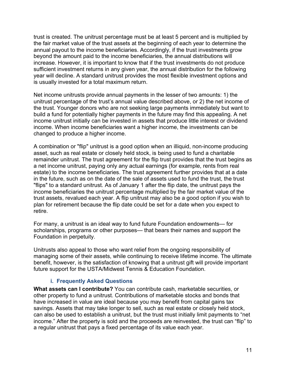trust is created. The unitrust percentage must be at least 5 percent and is multiplied by the fair market value of the trust assets at the beginning of each year to determine the annual payout to the income beneficiaries. Accordingly, if the trust investments grow beyond the amount paid to the income beneficiaries, the annual distributions will increase. However, it is important to know that if the trust investments do not produce sufficient investment returns in any given year, the annual distribution for the following year will decline. A standard unitrust provides the most flexible investment options and is usually invested for a total maximum return.

Net income unitrusts provide annual payments in the lesser of two amounts: 1) the unitrust percentage of the trust's annual value described above, or 2) the net income of the trust. Younger donors who are not seeking large payments immediately but want to build a fund for potentially higher payments in the future may find this appealing. A net income unitrust initially can be invested in assets that produce little interest or dividend income. When income beneficiaries want a higher income, the investments can be changed to produce a higher income.

A combination or "flip" unitrust is a good option when an illiquid, non-income producing asset, such as real estate or closely held stock, is being used to fund a charitable remainder unitrust. The trust agreement for the flip trust provides that the trust begins as a net income unitrust, paying only any actual earnings (for example, rents from real estate) to the income beneficiaries. The trust agreement further provides that at a date in the future, such as on the date of the sale of assets used to fund the trust, the trust "flips" to a standard unitrust. As of January 1 after the flip date, the unitrust pays the income beneficiaries the unitrust percentage multiplied by the fair market value of the trust assets, revalued each year. A flip unitrust may also be a good option if you wish to plan for retirement because the flip date could be set for a date when you expect to retire.

For many, a unitrust is an ideal way to fund future Foundation endowments— for scholarships, programs or other purposes— that bears their names and support the Foundation in perpetuity.

Unitrusts also appeal to those who want relief from the ongoing responsibility of managing some of their assets, while continuing to receive lifetime income. The ultimate benefit, however, is the satisfaction of knowing that a unitrust gift will provide important future support for the USTA/Midwest Tennis & Education Foundation.

#### **i. Frequently Asked Questions**

**What assets can I contribute?** You can contribute cash, marketable securities, or other property to fund a unitrust. Contributions of marketable stocks and bonds that have increased in value are ideal because you may benefit from capital gains tax savings. Assets that may take longer to sell, such as real estate or closely held stock, can also be used to establish a unitrust, but the trust must initially limit payments to "net income." After the property is sold and the proceeds are reinvested, the trust can "flip" to a regular unitrust that pays a fixed percentage of its value each year.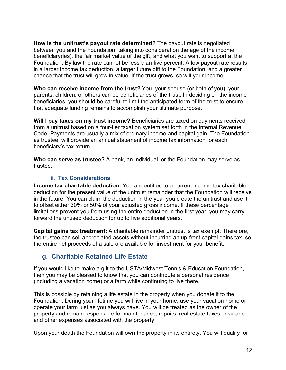**How is the unitrust's payout rate determined?** The payout rate is negotiated between you and the Foundation, taking into consideration the age of the income beneficiary(ies), the fair market value of the gift, and what you want to support at the Foundation. By law the rate cannot be less than five percent. A low payout rate results in a larger income tax deduction, a larger future gift to the Foundation, and a greater chance that the trust will grow in value. If the trust grows, so will your income.

**Who can receive income from the trust?** You, your spouse (or both of you), your parents, children, or others can be beneficiaries of the trust. In deciding on the income beneficiaries, you should be careful to limit the anticipated term of the trust to ensure that adequate funding remains to accomplish your ultimate purpose.

**Will I pay taxes on my trust income?** Beneficiaries are taxed on payments received from a unitrust based on a four-tier taxation system set forth in the Internal Revenue Code. Payments are usually a mix of ordinary income and capital gain. The Foundation, as trustee, will provide an annual statement of income tax information for each beneficiary's tax return.

**Who can serve as trustee?** A bank, an individual, or the Foundation may serve as trustee.

### **ii. Tax Considerations**

**Income tax charitable deduction:** You are entitled to a current income tax charitable deduction for the present value of the unitrust remainder that the Foundation will receive in the future. You can claim the deduction in the year you create the unitrust and use it to offset either 30% or 50% of your adjusted gross income. If these percentage limitations prevent you from using the entire deduction in the first year, you may carry forward the unused deduction for up to five additional years.

**Capital gains tax treatment:** A charitable remainder unitrust is tax exempt. Therefore, the trustee can sell appreciated assets without incurring an up-front capital gains tax, so the entire net proceeds of a sale are available for investment for your benefit.

### **g. Charitable Retained Life Estate**

If you would like to make a gift to the USTA/Midwest Tennis & Education Foundation, then you may be pleased to know that you can contribute a personal residence (including a vacation home) or a farm while continuing to live there.

This is possible by retaining a life estate in the property when you donate it to the Foundation. During your lifetime you will live in your home, use your vacation home or operate your farm just as you always have. You will be treated as the owner of the property and remain responsible for maintenance, repairs, real estate taxes, insurance and other expenses associated with the property.

Upon your death the Foundation will own the property in its entirety. You will qualify for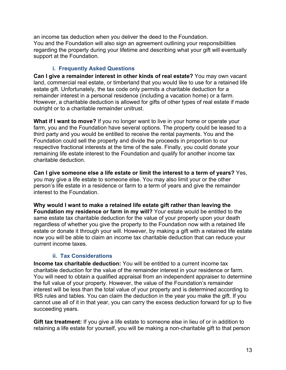an income tax deduction when you deliver the deed to the Foundation. You and the Foundation will also sign an agreement outlining your responsibilities regarding the property during your lifetime and describing what your gift will eventually support at the Foundation.

### **i. Frequently Asked Questions**

**Can I give a remainder interest in other kinds of real estate?** You may own vacant land, commercial real estate, or timberland that you would like to use for a retained life estate gift. Unfortunately, the tax code only permits a charitable deduction for a remainder interest in a personal residence (including a vacation home) or a farm. However, a charitable deduction is allowed for gifts of other types of real estate if made outright or to a charitable remainder unitrust.

**What if I want to move?** If you no longer want to live in your home or operate your farm, you and the Foundation have several options. The property could be leased to a third party and you would be entitled to receive the rental payments. You and the Foundation could sell the property and divide the proceeds in proportion to our respective fractional interests at the time of the sale. Finally, you could donate your remaining life estate interest to the Foundation and qualify for another income tax charitable deduction.

**Can I give someone else a life estate or limit the interest to a term of years?** Yes, you may give a life estate to someone else. You may also limit your or the other person's life estate in a residence or farm to a term of years and give the remainder interest to the Foundation.

**Why would I want to make a retained life estate gift rather than leaving the Foundation my residence or farm in my will?** Your estate would be entitled to the same estate tax charitable deduction for the value of your property upon your death regardless of whether you give the property to the Foundation now with a retained life estate or donate it through your will. However, by making a gift with a retained life estate now you will be able to claim an income tax charitable deduction that can reduce your current income taxes.

### **ii. Tax Considerations**

**Income tax charitable deduction:** You will be entitled to a current income tax charitable deduction for the value of the remainder interest in your residence or farm. You will need to obtain a qualified appraisal from an independent appraiser to determine the full value of your property. However, the value of the Foundation's remainder interest will be less than the total value of your property and is determined according to IRS rules and tables. You can claim the deduction in the year you make the gift. If you cannot use all of it in that year, you can carry the excess deduction forward for up to five succeeding years.

**Gift tax treatment:** If you give a life estate to someone else in lieu of or in addition to retaining a life estate for yourself, you will be making a non-charitable gift to that person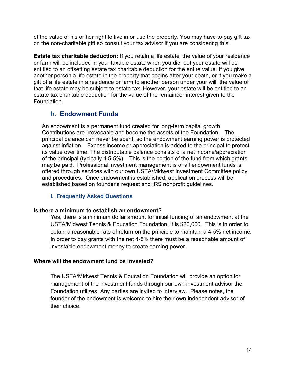of the value of his or her right to live in or use the property. You may have to pay gift tax on the non-charitable gift so consult your tax advisor if you are considering this.

**Estate tax charitable deduction:** If you retain a life estate, the value of your residence or farm will be included in your taxable estate when you die, but your estate will be entitled to an offsetting estate tax charitable deduction for the entire value. If you give another person a life estate in the property that begins after your death, or if you make a gift of a life estate in a residence or farm to another person under your will, the value of that life estate may be subject to estate tax. However, your estate will be entitled to an estate tax charitable deduction for the value of the remainder interest given to the Foundation.

### **h. Endowment Funds**

An endowment is a permanent fund created for long-term capital growth. Contributions are irrevocable and become the assets of the Foundation. The principal balance can never be spent, so the endowment earning power is protected against inflation. Excess income or appreciation is added to the principal to protect its value over time. The distributable balance consists of a net income/appreciation of the principal (typically 4.5-5%). This is the portion of the fund from which grants may be paid. Professional investment management is of all endowment funds is offered through services with our own USTA/Midwest Investment Committee policy and procedures. Once endowment is established, application process will be established based on founder's request and IRS nonprofit guidelines.

### **i. Frequently Asked Questions**

### **Is there a minimum to establish an endowment?**

Yes, there is a minimum dollar amount for initial funding of an endowment at the USTA/Midwest Tennis & Education Foundation, it is \$20,000. This is in order to obtain a reasonable rate of return on the principle to maintain a 4-5% net income. In order to pay grants with the net 4-5% there must be a reasonable amount of investable endowment money to create earning power.

### **Where will the endowment fund be invested?**

The USTA/Midwest Tennis & Education Foundation will provide an option for management of the investment funds through our own investment advisor the Foundation utilizes. Any parties are invited to interview. Please notes, the founder of the endowment is welcome to hire their own independent advisor of their choice.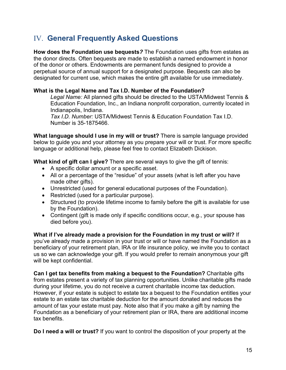# IV. **General Frequently Asked Questions**

**How does the Foundation use bequests***?* The Foundation uses gifts from estates as the donor directs. Often bequests are made to establish a named endowment in honor of the donor or others. Endowments are permanent funds designed to provide a perpetual source of annual support for a designated purpose. Bequests can also be designated for current use, which makes the entire gift available for use immediately.

#### **What is the Legal Name and Tax I.D. Number of the Foundation?**

*Legal Name:* All planned gifts should be directed to the USTA/Midwest Tennis & Education Foundation, Inc., an Indiana nonprofit corporation, currently located in Indianapolis, Indiana.

*Tax I.D. Number:* USTA/Midwest Tennis & Education Foundation Tax I.D. Number is 35-1875466.

**What language should I use in my will or trust?** There is sample language provided below to guide you and your attorney as you prepare your will or trust. For more specific language or additional help, please feel free to contact Elizabeth Dickison.

**What kind of gift can I give?** There are several ways to give the gift of tennis:

- A specific dollar amount or a specific asset.
- All or a percentage of the "residue" of your assets (what is left after you have made other gifts).
- Unrestricted (used for general educational purposes of the Foundation).
- Restricted (used for a particular purpose).
- Structured (to provide lifetime income to family before the gift is available for use by the Foundation).
- Contingent (gift is made only if specific conditions occur, e.g., your spouse has died before you).

**What if I've already made a provision for the Foundation in my trust or will?** If you've already made a provision in your trust or will or have named the Foundation as a beneficiary of your retirement plan, IRA or life insurance policy, we invite you to contact us so we can acknowledge your gift. If you would prefer to remain anonymous your gift will be kept confidential.

**Can I get tax benefits from making a bequest to the Foundation?** Charitable gifts from estates present a variety of tax planning opportunities. Unlike charitable gifts made during your lifetime, you do not receive a current charitable income tax deduction. However, if your estate is subject to estate tax a bequest to the Foundation entitles your estate to an estate tax charitable deduction for the amount donated and reduces the amount of tax your estate must pay. Note also that if you make a gift by naming the Foundation as a beneficiary of your retirement plan or IRA, there are additional income tax benefits.

**Do I need a will or trust?** If you want to control the disposition of your property at the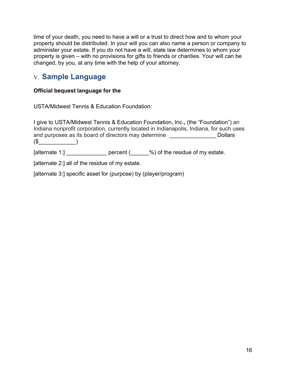time of your death, you need to have a will or a trust to direct how and to whom your property should be distributed. In your will you can also name a person or company to administer your estate. If you do not have a will, state law determines to whom your property is given – with no provisions for gifts to friends or charities. Your will can be changed, by you, at any time with the help of your attorney.

### V. **Sample Language**

### **Official bequest language for the**

USTA/Midwest Tennis & Education Foundation:

I give to USTA/Midwest Tennis & Education Foundation, Inc.**,** (the "Foundation") an Indiana nonprofit corporation, currently located in Indianapolis, Indiana, for such uses and purposes as its board of directors may determine \_\_\_\_\_\_\_\_\_\_\_\_\_\_\_ Dollars  $(\$$ [alternate 1:] ercent (  $\%$ ) of the residue of my estate. [alternate 2:] all of the residue of my estate.

[alternate 3:] specific asset for (purpose) by (player/program)